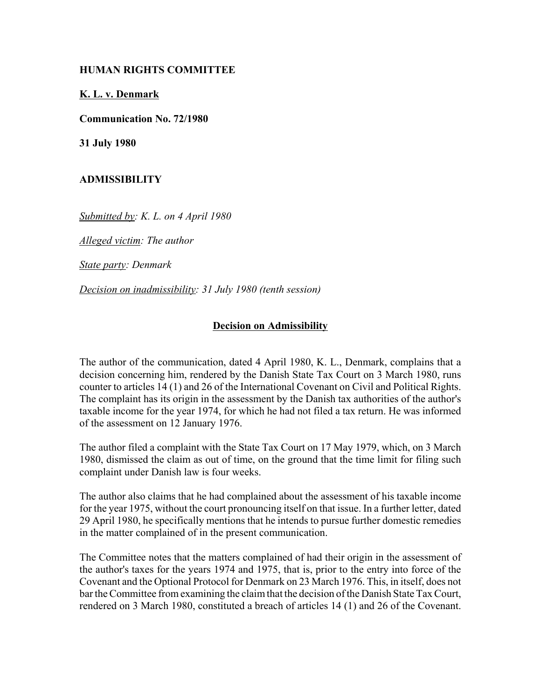## **HUMAN RIGHTS COMMITTEE**

## **K. L. v. Denmark**

**Communication No. 72/1980** 

**31 July 1980**

## **ADMISSIBILITY**

*Submitted by: K. L. on 4 April 1980*

*Alleged victim: The author* 

*State party: Denmark* 

*Decision on inadmissibility: 31 July 1980 (tenth session)*

## **Decision on Admissibility**

The author of the communication, dated 4 April 1980, K. L., Denmark, complains that a decision concerning him, rendered by the Danish State Tax Court on 3 March 1980, runs counter to articles 14 (1) and 26 of the International Covenant on Civil and Political Rights. The complaint has its origin in the assessment by the Danish tax authorities of the author's taxable income for the year 1974, for which he had not filed a tax return. He was informed of the assessment on 12 January 1976.

The author filed a complaint with the State Tax Court on 17 May 1979, which, on 3 March 1980, dismissed the claim as out of time, on the ground that the time limit for filing such complaint under Danish law is four weeks.

The author also claims that he had complained about the assessment of his taxable income for the year 1975, without the court pronouncing itself on that issue. In a further letter, dated 29 April 1980, he specifically mentions that he intends to pursue further domestic remedies in the matter complained of in the present communication.

The Committee notes that the matters complained of had their origin in the assessment of the author's taxes for the years 1974 and 1975, that is, prior to the entry into force of the Covenant and the Optional Protocol for Denmark on 23 March 1976. This, in itself, does not bar the Committee from examining the claim that the decision of the Danish State Tax Court, rendered on 3 March 1980, constituted a breach of articles 14 (1) and 26 of the Covenant.